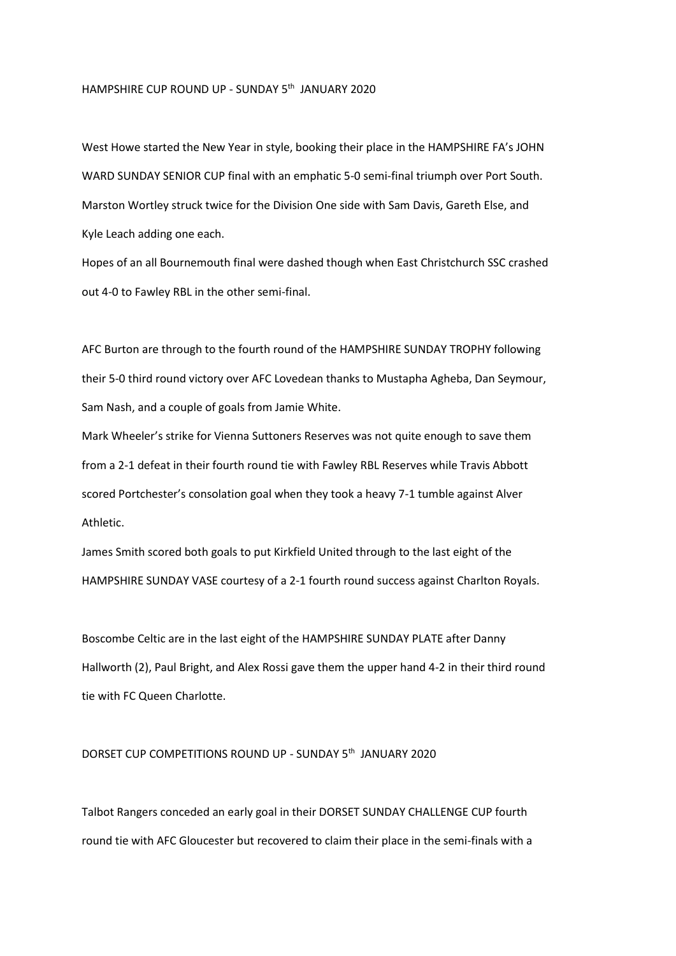## HAMPSHIRE CUP ROUND UP - SUNDAY 5<sup>th</sup> JANUARY 2020

West Howe started the New Year in style, booking their place in the HAMPSHIRE FA's JOHN WARD SUNDAY SENIOR CUP final with an emphatic 5-0 semi-final triumph over Port South. Marston Wortley struck twice for the Division One side with Sam Davis, Gareth Else, and Kyle Leach adding one each.

Hopes of an all Bournemouth final were dashed though when East Christchurch SSC crashed out 4-0 to Fawley RBL in the other semi-final.

AFC Burton are through to the fourth round of the HAMPSHIRE SUNDAY TROPHY following their 5-0 third round victory over AFC Lovedean thanks to Mustapha Agheba, Dan Seymour, Sam Nash, and a couple of goals from Jamie White.

Mark Wheeler's strike for Vienna Suttoners Reserves was not quite enough to save them from a 2-1 defeat in their fourth round tie with Fawley RBL Reserves while Travis Abbott scored Portchester's consolation goal when they took a heavy 7-1 tumble against Alver Athletic.

James Smith scored both goals to put Kirkfield United through to the last eight of the HAMPSHIRE SUNDAY VASE courtesy of a 2-1 fourth round success against Charlton Royals.

Boscombe Celtic are in the last eight of the HAMPSHIRE SUNDAY PLATE after Danny Hallworth (2), Paul Bright, and Alex Rossi gave them the upper hand 4-2 in their third round tie with FC Queen Charlotte.

## DORSET CUP COMPETITIONS ROUND UP - SUNDAY 5th JANUARY 2020

Talbot Rangers conceded an early goal in their DORSET SUNDAY CHALLENGE CUP fourth round tie with AFC Gloucester but recovered to claim their place in the semi-finals with a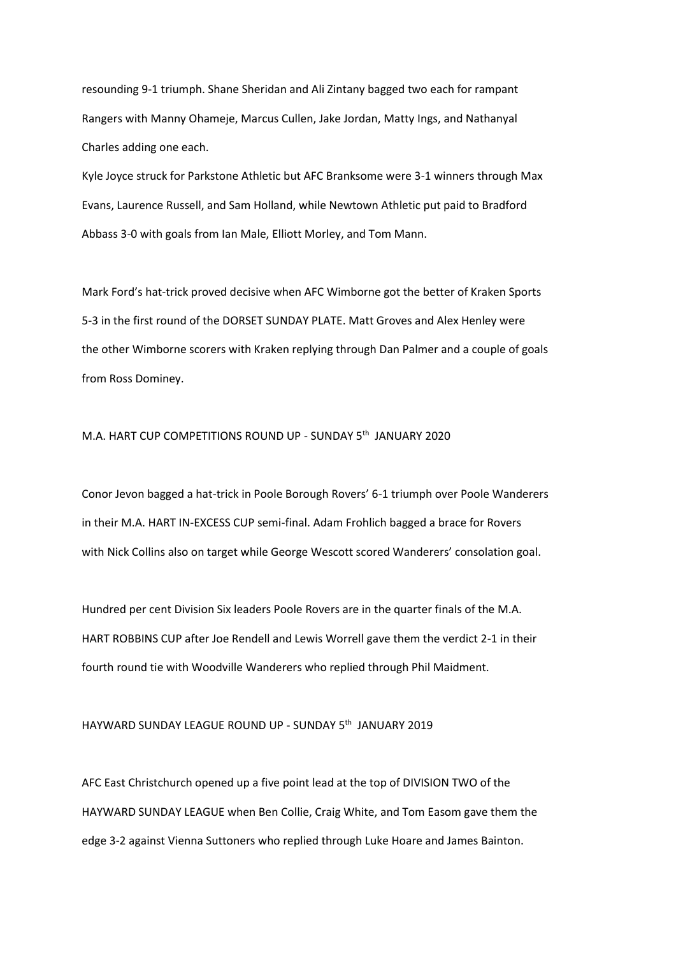resounding 9-1 triumph. Shane Sheridan and Ali Zintany bagged two each for rampant Rangers with Manny Ohameje, Marcus Cullen, Jake Jordan, Matty Ings, and Nathanyal Charles adding one each.

Kyle Joyce struck for Parkstone Athletic but AFC Branksome were 3-1 winners through Max Evans, Laurence Russell, and Sam Holland, while Newtown Athletic put paid to Bradford Abbass 3-0 with goals from Ian Male, Elliott Morley, and Tom Mann.

Mark Ford's hat-trick proved decisive when AFC Wimborne got the better of Kraken Sports 5-3 in the first round of the DORSET SUNDAY PLATE. Matt Groves and Alex Henley were the other Wimborne scorers with Kraken replying through Dan Palmer and a couple of goals from Ross Dominey.

## M.A. HART CUP COMPETITIONS ROUND UP - SUNDAY 5<sup>th</sup> JANUARY 2020

Conor Jevon bagged a hat-trick in Poole Borough Rovers' 6-1 triumph over Poole Wanderers in their M.A. HART IN-EXCESS CUP semi-final. Adam Frohlich bagged a brace for Rovers with Nick Collins also on target while George Wescott scored Wanderers' consolation goal.

Hundred per cent Division Six leaders Poole Rovers are in the quarter finals of the M.A. HART ROBBINS CUP after Joe Rendell and Lewis Worrell gave them the verdict 2-1 in their fourth round tie with Woodville Wanderers who replied through Phil Maidment.

## HAYWARD SUNDAY LEAGUE ROUND UP - SUNDAY 5th JANUARY 2019

AFC East Christchurch opened up a five point lead at the top of DIVISION TWO of the HAYWARD SUNDAY LEAGUE when Ben Collie, Craig White, and Tom Easom gave them the edge 3-2 against Vienna Suttoners who replied through Luke Hoare and James Bainton.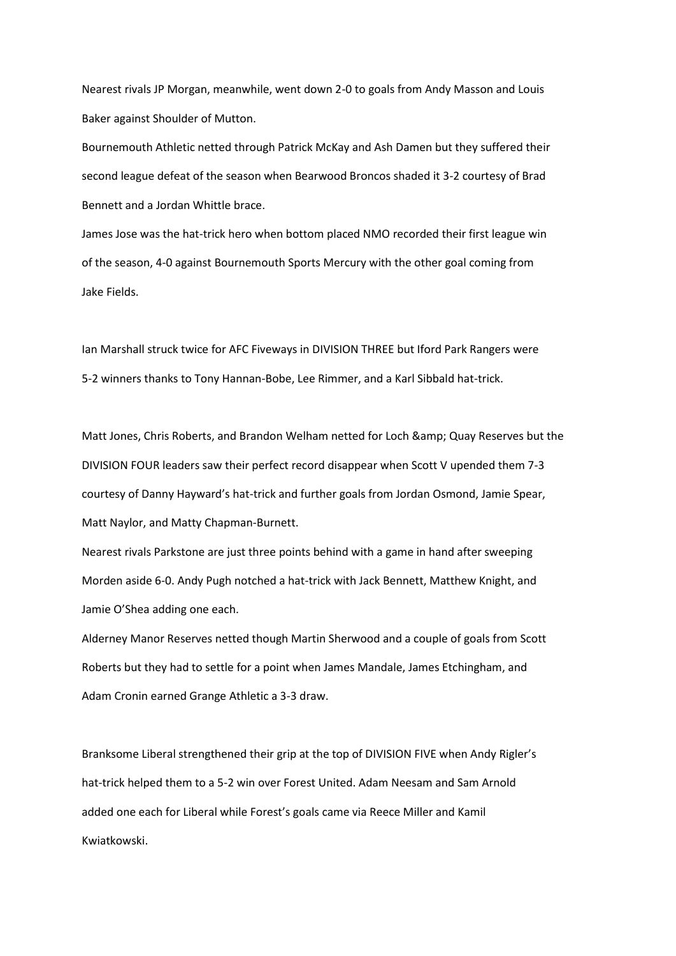Nearest rivals JP Morgan, meanwhile, went down 2-0 to goals from Andy Masson and Louis Baker against Shoulder of Mutton.

Bournemouth Athletic netted through Patrick McKay and Ash Damen but they suffered their second league defeat of the season when Bearwood Broncos shaded it 3-2 courtesy of Brad Bennett and a Jordan Whittle brace.

James Jose was the hat-trick hero when bottom placed NMO recorded their first league win of the season, 4-0 against Bournemouth Sports Mercury with the other goal coming from Jake Fields.

Ian Marshall struck twice for AFC Fiveways in DIVISION THREE but Iford Park Rangers were 5-2 winners thanks to Tony Hannan-Bobe, Lee Rimmer, and a Karl Sibbald hat-trick.

Matt Jones, Chris Roberts, and Brandon Welham netted for Loch & amp; Quay Reserves but the DIVISION FOUR leaders saw their perfect record disappear when Scott V upended them 7-3 courtesy of Danny Hayward's hat-trick and further goals from Jordan Osmond, Jamie Spear, Matt Naylor, and Matty Chapman-Burnett.

Nearest rivals Parkstone are just three points behind with a game in hand after sweeping Morden aside 6-0. Andy Pugh notched a hat-trick with Jack Bennett, Matthew Knight, and Jamie O'Shea adding one each.

Alderney Manor Reserves netted though Martin Sherwood and a couple of goals from Scott Roberts but they had to settle for a point when James Mandale, James Etchingham, and Adam Cronin earned Grange Athletic a 3-3 draw.

Branksome Liberal strengthened their grip at the top of DIVISION FIVE when Andy Rigler's hat-trick helped them to a 5-2 win over Forest United. Adam Neesam and Sam Arnold added one each for Liberal while Forest's goals came via Reece Miller and Kamil Kwiatkowski.